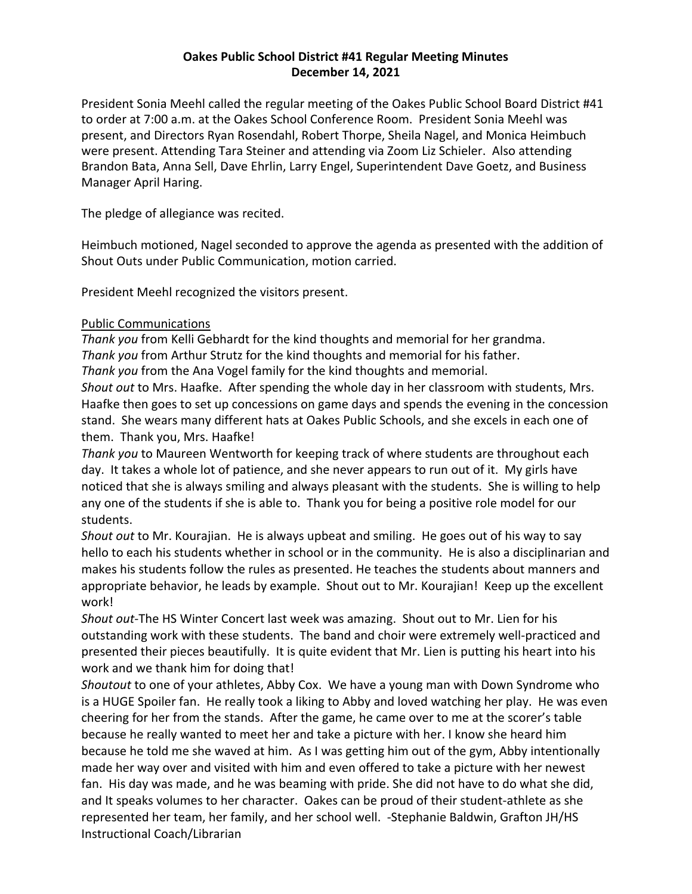## **Oakes Public School District #41 Regular Meeting Minutes December 14, 2021**

President Sonia Meehl called the regular meeting of the Oakes Public School Board District #41 to order at 7:00 a.m. at the Oakes School Conference Room. President Sonia Meehl was present, and Directors Ryan Rosendahl, Robert Thorpe, Sheila Nagel, and Monica Heimbuch were present. Attending Tara Steiner and attending via Zoom Liz Schieler. Also attending Brandon Bata, Anna Sell, Dave Ehrlin, Larry Engel, Superintendent Dave Goetz, and Business Manager April Haring.

The pledge of allegiance was recited.

Heimbuch motioned, Nagel seconded to approve the agenda as presented with the addition of Shout Outs under Public Communication, motion carried.

President Meehl recognized the visitors present.

### Public Communications

*Thank you* from Kelli Gebhardt for the kind thoughts and memorial for her grandma.

*Thank you* from Arthur Strutz for the kind thoughts and memorial for his father.

*Thank you* from the Ana Vogel family for the kind thoughts and memorial.

*Shout out* to Mrs. Haafke. After spending the whole day in her classroom with students, Mrs. Haafke then goes to set up concessions on game days and spends the evening in the concession stand. She wears many different hats at Oakes Public Schools, and she excels in each one of them. Thank you, Mrs. Haafke!

*Thank you* to Maureen Wentworth for keeping track of where students are throughout each day. It takes a whole lot of patience, and she never appears to run out of it. My girls have noticed that she is always smiling and always pleasant with the students. She is willing to help any one of the students if she is able to. Thank you for being a positive role model for our students.

*Shout out* to Mr. Kourajian. He is always upbeat and smiling. He goes out of his way to say hello to each his students whether in school or in the community. He is also a disciplinarian and makes his students follow the rules as presented. He teaches the students about manners and appropriate behavior, he leads by example. Shout out to Mr. Kourajian! Keep up the excellent work!

*Shout out-*The HS Winter Concert last week was amazing. Shout out to Mr. Lien for his outstanding work with these students. The band and choir were extremely well-practiced and presented their pieces beautifully. It is quite evident that Mr. Lien is putting his heart into his work and we thank him for doing that!

*Shoutout* to one of your athletes, Abby Cox. We have a young man with Down Syndrome who is a HUGE Spoiler fan. He really took a liking to Abby and loved watching her play. He was even cheering for her from the stands. After the game, he came over to me at the scorer's table because he really wanted to meet her and take a picture with her. I know she heard him because he told me she waved at him. As I was getting him out of the gym, Abby intentionally made her way over and visited with him and even offered to take a picture with her newest fan. His day was made, and he was beaming with pride. She did not have to do what she did, and It speaks volumes to her character. Oakes can be proud of their student-athlete as she represented her team, her family, and her school well. -Stephanie Baldwin, Grafton JH/HS Instructional Coach/Librarian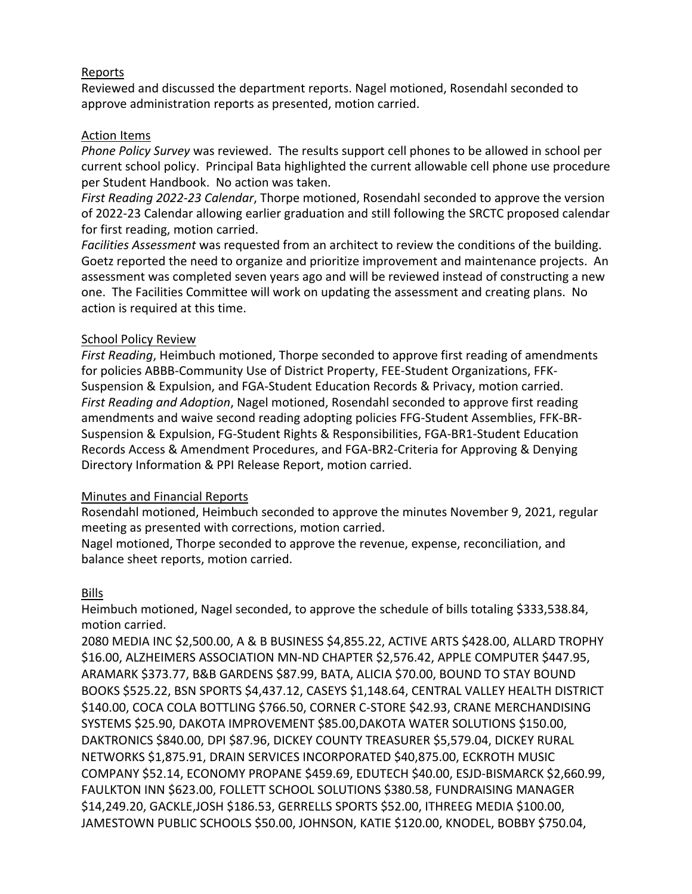# Reports

Reviewed and discussed the department reports. Nagel motioned, Rosendahl seconded to approve administration reports as presented, motion carried.

### Action Items

*Phone Policy Survey* was reviewed. The results support cell phones to be allowed in school per current school policy. Principal Bata highlighted the current allowable cell phone use procedure per Student Handbook. No action was taken.

*First Reading 2022-23 Calendar*, Thorpe motioned, Rosendahl seconded to approve the version of 2022-23 Calendar allowing earlier graduation and still following the SRCTC proposed calendar for first reading, motion carried.

*Facilities Assessment* was requested from an architect to review the conditions of the building. Goetz reported the need to organize and prioritize improvement and maintenance projects. An assessment was completed seven years ago and will be reviewed instead of constructing a new one. The Facilities Committee will work on updating the assessment and creating plans. No action is required at this time.

### School Policy Review

*First Reading*, Heimbuch motioned, Thorpe seconded to approve first reading of amendments for policies ABBB-Community Use of District Property, FEE-Student Organizations, FFK-Suspension & Expulsion, and FGA-Student Education Records & Privacy, motion carried. *First Reading and Adoption*, Nagel motioned, Rosendahl seconded to approve first reading amendments and waive second reading adopting policies FFG-Student Assemblies, FFK-BR-Suspension & Expulsion, FG-Student Rights & Responsibilities, FGA-BR1-Student Education Records Access & Amendment Procedures, and FGA-BR2-Criteria for Approving & Denying Directory Information & PPI Release Report, motion carried.

### Minutes and Financial Reports

Rosendahl motioned, Heimbuch seconded to approve the minutes November 9, 2021, regular meeting as presented with corrections, motion carried.

Nagel motioned, Thorpe seconded to approve the revenue, expense, reconciliation, and balance sheet reports, motion carried.

### Bills

Heimbuch motioned, Nagel seconded, to approve the schedule of bills totaling \$333,538.84, motion carried.

2080 MEDIA INC \$2,500.00, A & B BUSINESS \$4,855.22, ACTIVE ARTS \$428.00, ALLARD TROPHY \$16.00, ALZHEIMERS ASSOCIATION MN-ND CHAPTER \$2,576.42, APPLE COMPUTER \$447.95, ARAMARK \$373.77, B&B GARDENS \$87.99, BATA, ALICIA \$70.00, BOUND TO STAY BOUND BOOKS \$525.22, BSN SPORTS \$4,437.12, CASEYS \$1,148.64, CENTRAL VALLEY HEALTH DISTRICT \$140.00, COCA COLA BOTTLING \$766.50, CORNER C-STORE \$42.93, CRANE MERCHANDISING SYSTEMS \$25.90, DAKOTA IMPROVEMENT \$85.00,DAKOTA WATER SOLUTIONS \$150.00, DAKTRONICS \$840.00, DPI \$87.96, DICKEY COUNTY TREASURER \$5,579.04, DICKEY RURAL NETWORKS \$1,875.91, DRAIN SERVICES INCORPORATED \$40,875.00, ECKROTH MUSIC COMPANY \$52.14, ECONOMY PROPANE \$459.69, EDUTECH \$40.00, ESJD-BISMARCK \$2,660.99, FAULKTON INN \$623.00, FOLLETT SCHOOL SOLUTIONS \$380.58, FUNDRAISING MANAGER \$14,249.20, GACKLE,JOSH \$186.53, GERRELLS SPORTS \$52.00, ITHREEG MEDIA \$100.00, JAMESTOWN PUBLIC SCHOOLS \$50.00, JOHNSON, KATIE \$120.00, KNODEL, BOBBY \$750.04,